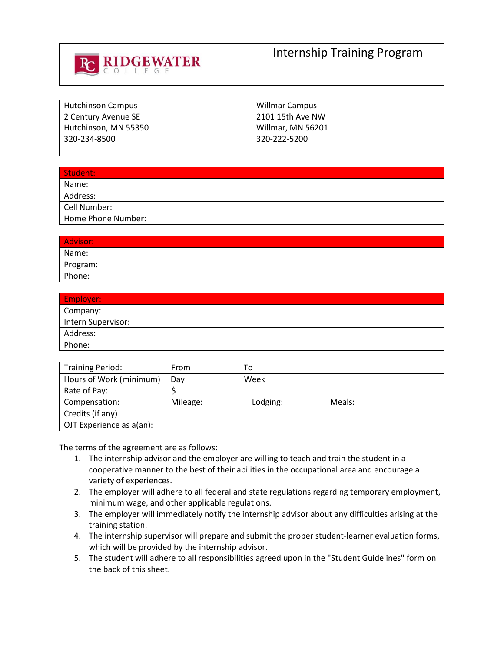

| <b>Hutchinson Campus</b> | Willmar Campus    |
|--------------------------|-------------------|
| 2 Century Avenue SE      | 2101 15th Ave NW  |
| Hutchinson, MN 55350     | Willmar, MN 56201 |
| 320-234-8500             | 320-222-5200      |
|                          |                   |

| Student:           |
|--------------------|
| Name:              |
| Address:           |
| Cell Number:       |
| Home Phone Number: |

| <b>Advisor:</b> |  |
|-----------------|--|
| Name:           |  |
| Program:        |  |
| Phone:          |  |

| Employer:          |
|--------------------|
| Company:           |
| Intern Supervisor: |
| Address:           |
| Phone:             |

| <b>Training Period:</b>  | From     | То       |        |
|--------------------------|----------|----------|--------|
| Hours of Work (minimum)  | Dav      | Week     |        |
| Rate of Pay:             |          |          |        |
| Compensation:            | Mileage: | Lodging: | Meals: |
| Credits (if any)         |          |          |        |
| OJT Experience as a(an): |          |          |        |

The terms of the agreement are as follows:

- 1. The internship advisor and the employer are willing to teach and train the student in a cooperative manner to the best of their abilities in the occupational area and encourage a variety of experiences.
- 2. The employer will adhere to all federal and state regulations regarding temporary employment, minimum wage, and other applicable regulations.
- 3. The employer will immediately notify the internship advisor about any difficulties arising at the training station.
- 4. The internship supervisor will prepare and submit the proper student-learner evaluation forms, which will be provided by the internship advisor.
- 5. The student will adhere to all responsibilities agreed upon in the "Student Guidelines" form on the back of this sheet.